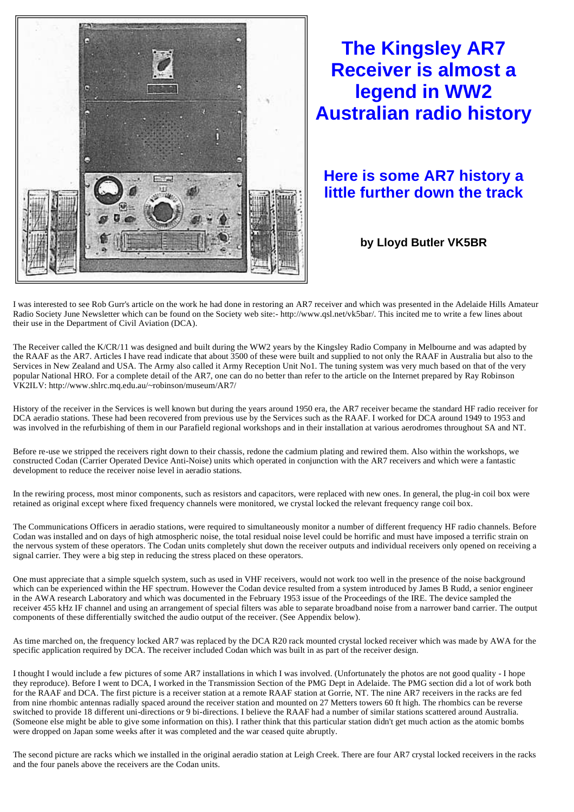

## **The Kingsley AR7 Receiver is almost a legend in WW2 Australian radio history**

## **Here is some AR7 history a little further down the track**

**by Lloyd Butler VK5BR** 

I was interested to see Rob Gurr's article on the work he had done in restoring an AR7 receiver and which was presented in the Adelaide Hills Amateur Radio Society June Newsletter which can be found on the Society web site:- http://www.qsl.net/vk5bar/. This incited me to write a few lines about their use in the Department of Civil Aviation (DCA).

The Receiver called the K/CR/11 was designed and built during the WW2 years by the Kingsley Radio Company in Melbourne and was adapted by the RAAF as the AR7. Articles I have read indicate that about 3500 of these were built and supplied to not only the RAAF in Australia but also to the Services in New Zealand and USA. The Army also called it Army Reception Unit No1. The tuning system was very much based on that of the very popular National HRO. For a complete detail of the AR7, one can do no better than refer to the article on the Internet prepared by Ray Robinson VK2ILV: http://www.shlrc.mq.edu.au/~robinson/museum/AR7/

History of the receiver in the Services is well known but during the years around 1950 era, the AR7 receiver became the standard HF radio receiver for DCA aeradio stations. These had been recovered from previous use by the Services such as the RAAF. I worked for DCA around 1949 to 1953 and was involved in the refurbishing of them in our Parafield regional workshops and in their installation at various aerodromes throughout SA and NT.

Before re-use we stripped the receivers right down to their chassis, redone the cadmium plating and rewired them. Also within the workshops, we constructed Codan (Carrier Operated Device Anti-Noise) units which operated in conjunction with the AR7 receivers and which were a fantastic development to reduce the receiver noise level in aeradio stations.

In the rewiring process, most minor components, such as resistors and capacitors, were replaced with new ones. In general, the plug-in coil box were retained as original except where fixed frequency channels were monitored, we crystal locked the relevant frequency range coil box.

The Communications Officers in aeradio stations, were required to simultaneously monitor a number of different frequency HF radio channels. Before Codan was installed and on days of high atmospheric noise, the total residual noise level could be horrific and must have imposed a terrific strain on the nervous system of these operators. The Codan units completely shut down the receiver outputs and individual receivers only opened on receiving a signal carrier. They were a big step in reducing the stress placed on these operators.

One must appreciate that a simple squelch system, such as used in VHF receivers, would not work too well in the presence of the noise background which can be experienced within the HF spectrum. However the Codan device resulted from a system introduced by James B Rudd, a senior engineer in the AWA research Laboratory and which was documented in the February 1953 issue of the Proceedings of the IRE. The device sampled the receiver 455 kHz IF channel and using an arrangement of special filters was able to separate broadband noise from a narrower band carrier. The output components of these differentially switched the audio output of the receiver. (See Appendix below).

As time marched on, the frequency locked AR7 was replaced by the DCA R20 rack mounted crystal locked receiver which was made by AWA for the specific application required by DCA. The receiver included Codan which was built in as part of the receiver design.

I thought I would include a few pictures of some AR7 installations in which I was involved. (Unfortunately the photos are not good quality - I hope they reproduce). Before I went to DCA, I worked in the Transmission Section of the PMG Dept in Adelaide. The PMG section did a lot of work both for the RAAF and DCA. The first picture is a receiver station at a remote RAAF station at Gorrie, NT. The nine AR7 receivers in the racks are fed from nine rhombic antennas radially spaced around the receiver station and mounted on 27 Metters towers 60 ft high. The rhombics can be reverse switched to provide 18 different uni-directions or 9 bi-directions. I believe the RAAF had a number of similar stations scattered around Australia. (Someone else might be able to give some information on this). I rather think that this particular station didn't get much action as the atomic bombs were dropped on Japan some weeks after it was completed and the war ceased quite abruptly.

The second picture are racks which we installed in the original aeradio station at Leigh Creek. There are four AR7 crystal locked receivers in the racks and the four panels above the receivers are the Codan units.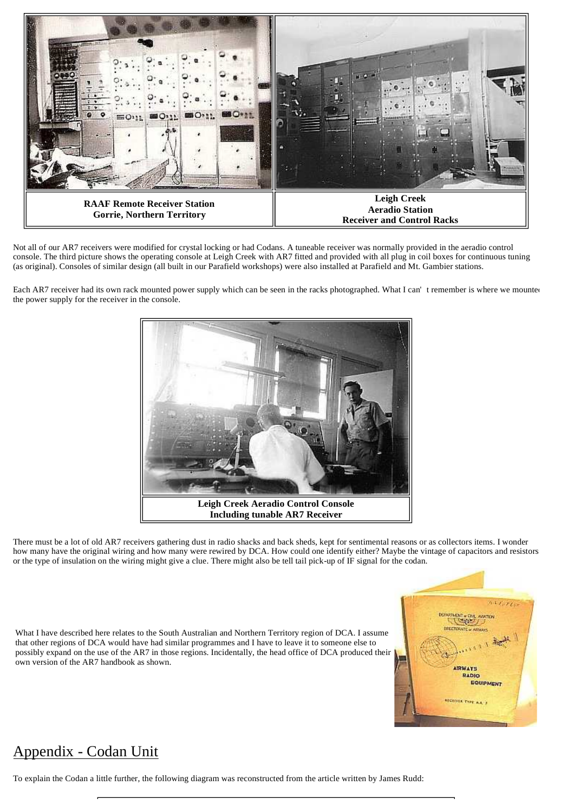

Not all of our AR7 receivers were modified for crystal locking or had Codans. A tuneable receiver was normally provided in the aeradio control console. The third picture shows the operating console at Leigh Creek with AR7 fitted and provided with all plug in coil boxes for continuous tuning (as original). Consoles of similar design (all built in our Parafield workshops) were also installed at Parafield and Mt. Gambier stations.

Each AR7 receiver had its own rack mounted power supply which can be seen in the racks photographed. What I can' t remember is where we mounted the power supply for the receiver in the console.



There must be a lot of old AR7 receivers gathering dust in radio shacks and back sheds, kept for sentimental reasons or as collectors items. I wonder how many have the original wiring and how many were rewired by DCA. How could one identify either? Maybe the vintage of capacitors and resistors or the type of insulation on the wiring might give a clue. There might also be tell tail pick-up of IF signal for the codan.

What I have described here relates to the South Australian and Northern Territory region of DCA. I assume that other regions of DCA would have had similar programmes and I have to leave it to someone else to possibly expand on the use of the AR7 in those regions. Incidentally, the head office of DCA produced their own version of the AR7 handbook as shown.



## Appendix - Codan Unit

To explain the Codan a little further, the following diagram was reconstructed from the article written by James Rudd: